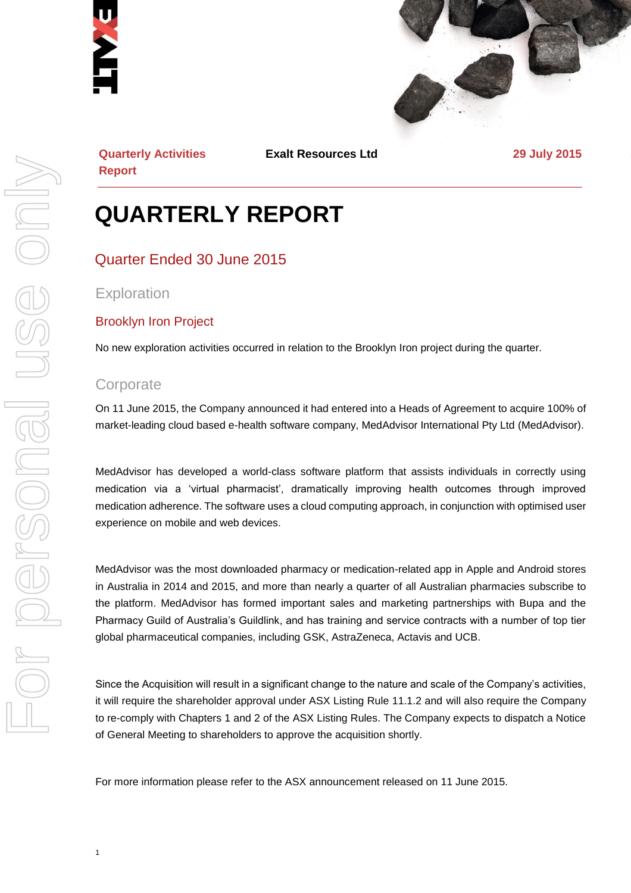



**Quarterly Activities Report**

**Exalt Resources Ltd 29 July 2015**

## **QUARTERLY REPORT**

#### Quarter Ended 30 June 2015

**Exploration** 

#### Brooklyn Iron Project

No new exploration activities occurred in relation to the Brooklyn Iron project during the quarter.

#### **Corporate**

On 11 June 2015, the Company announced it had entered into a Heads of Agreement to acquire 100% of market-leading cloud based e-health software company, MedAdvisor International Pty Ltd (MedAdvisor).

MedAdvisor has developed a world-class software platform that assists individuals in correctly using medication via a 'virtual pharmacist', dramatically improving health outcomes through improved medication adherence. The software uses a cloud computing approach, in conjunction with optimised user experience on mobile and web devices.

MedAdvisor was the most downloaded pharmacy or medication-related app in Apple and Android stores in Australia in 2014 and 2015, and more than nearly a quarter of all Australian pharmacies subscribe to the platform. MedAdvisor has formed important sales and marketing partnerships with Bupa and the Pharmacy Guild of Australia's Guildlink, and has training and service contracts with a number of top tier global pharmaceutical companies, including GSK, AstraZeneca, Actavis and UCB.

Since the Acquisition will result in a significant change to the nature and scale of the Company's activities, it will require the shareholder approval under ASX Listing Rule 11.1.2 and will also require the Company to re-comply with Chapters 1 and 2 of the ASX Listing Rules. The Company expects to dispatch a Notice of General Meeting to shareholders to approve the acquisition shortly.

For more information please refer to the ASX announcement released on 11 June 2015.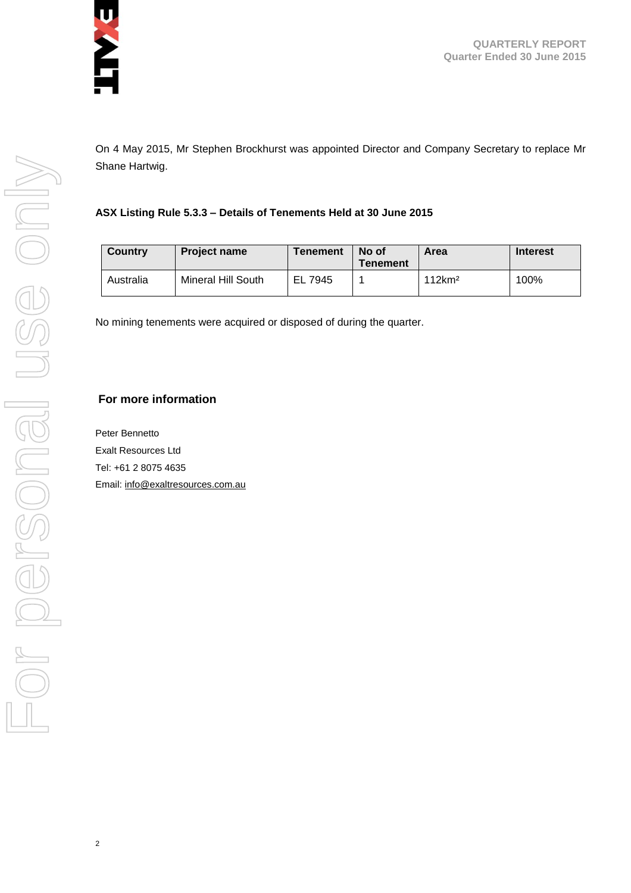

**QUARTERLY REPORT Quarter Ended 30 June 2015**

On 4 May 2015, Mr Stephen Brockhurst was appointed Director and Company Secretary to replace Mr Shane Hartwig.

#### **ASX Listing Rule 5.3.3 – Details of Tenements Held at 30 June 2015**

| <b>Country</b> | <b>Project name</b> | Tenement   | No of<br>Tenement | Area               | <b>Interest</b> |
|----------------|---------------------|------------|-------------------|--------------------|-----------------|
| Australia      | Mineral Hill South  | EL<br>7945 |                   | 112km <sup>2</sup> | 100%            |

No mining tenements were acquired or disposed of during the quarter.

#### **For more information**

Peter Bennetto Exalt Resources Ltd Tel: +61 2 8075 4635 Email[: info@exaltresources.com.au](mailto:info@exaltresources.com.au)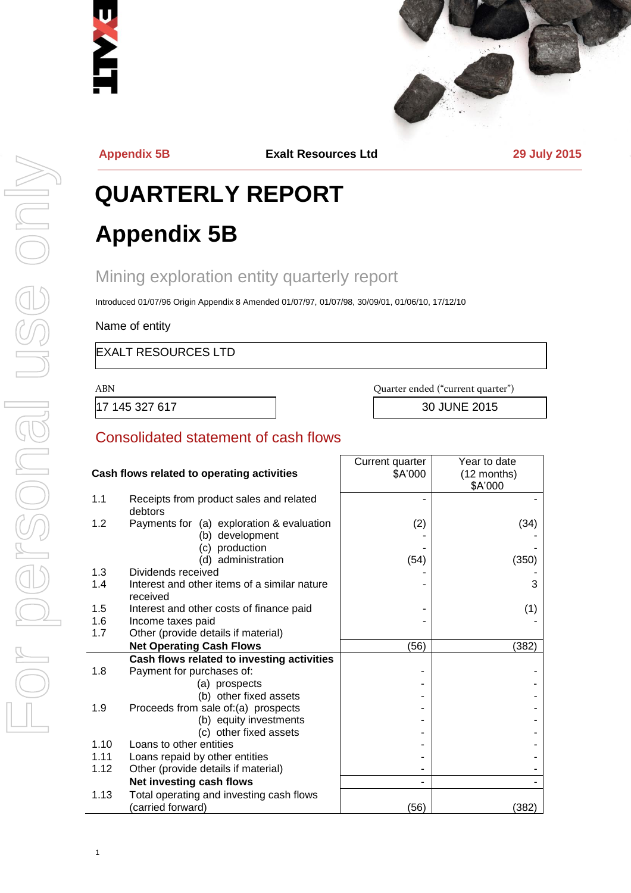



**Appendix 5B Exalt Resources Ltd 29 July 2015**

# **QUARTERLY REPORT Appendix 5B**

## Mining exploration entity quarterly report

Introduced 01/07/96 Origin Appendix 8 Amended 01/07/97, 01/07/98, 30/09/01, 01/06/10, 17/12/10

Name of entity

EXALT RESOURCES LTD

17 145 327 617 30 JUNE 2015

ABN Quarter ended ("current quarter")

#### Consolidated statement of cash flows

|            |                                                          | Current quarter | Year to date |
|------------|----------------------------------------------------------|-----------------|--------------|
|            | Cash flows related to operating activities               | \$A'000         | (12 months)  |
|            |                                                          |                 | \$A'000      |
| 1.1        | Receipts from product sales and related<br>debtors       |                 |              |
| 1.2        | Payments for (a) exploration & evaluation                | (2)             | (34)         |
|            | (b) development                                          |                 |              |
|            | (c) production                                           |                 |              |
|            | (d) administration                                       | (54)            | (350)        |
| 1.3<br>1.4 | Dividends received                                       |                 | 3            |
|            | Interest and other items of a similar nature<br>received |                 |              |
| 1.5        | Interest and other costs of finance paid                 |                 | (1)          |
| 1.6        | Income taxes paid                                        |                 |              |
| 1.7        | Other (provide details if material)                      |                 |              |
|            | <b>Net Operating Cash Flows</b>                          | (56)            | (382)        |
|            | Cash flows related to investing activities               |                 |              |
| 1.8        | Payment for purchases of:                                |                 |              |
|            | (a) prospects                                            |                 |              |
|            | (b) other fixed assets                                   |                 |              |
| 1.9        | Proceeds from sale of:(a) prospects                      |                 |              |
|            | (b) equity investments                                   |                 |              |
|            | (c) other fixed assets                                   |                 |              |
| 1.10       | Loans to other entities                                  |                 |              |
| 1.11       | Loans repaid by other entities                           |                 |              |
| 1.12       | Other (provide details if material)                      |                 |              |
|            | Net investing cash flows                                 |                 |              |
| 1.13       | Total operating and investing cash flows                 |                 |              |
|            | (carried forward)                                        | (56)            | (382)        |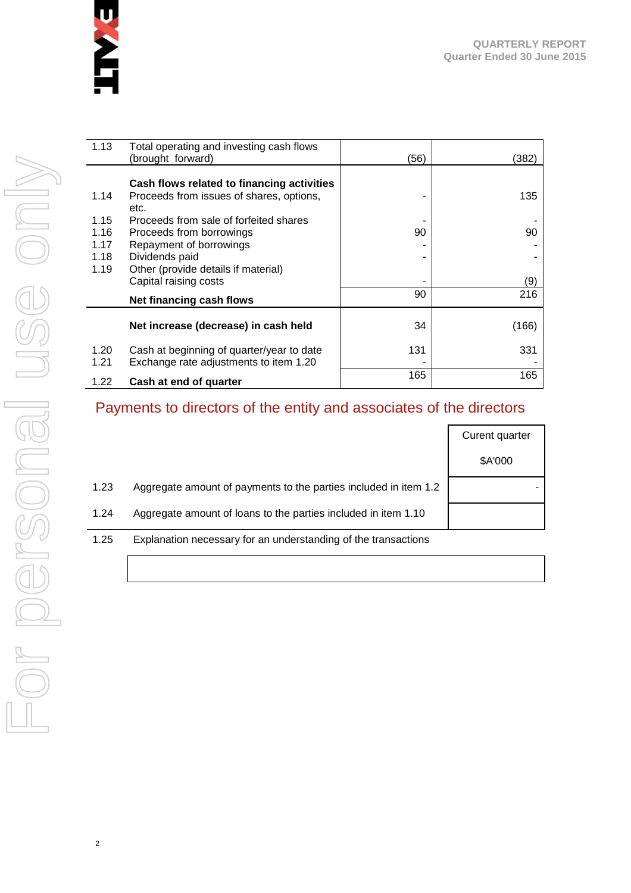

| 1.13 | Total operating and investing cash flows   |      |       |
|------|--------------------------------------------|------|-------|
|      | (brought forward)                          | (56) | (382) |
|      |                                            |      |       |
|      | Cash flows related to financing activities |      |       |
| 1.14 | Proceeds from issues of shares, options,   |      | 135   |
|      | etc.                                       |      |       |
| 1.15 | Proceeds from sale of forfeited shares     |      |       |
| 1.16 | Proceeds from borrowings                   | 90   | 90    |
| 1.17 | Repayment of borrowings                    |      |       |
| 1.18 | Dividends paid                             |      |       |
| 1.19 | Other (provide details if material)        |      |       |
|      | Capital raising costs                      |      | (9)   |
|      | Net financing cash flows                   | 90   | 216   |
|      |                                            |      |       |
|      | Net increase (decrease) in cash held       | 34   | (166) |
| 1.20 | Cash at beginning of quarter/year to date  | 131  | 331   |
| 1.21 | Exchange rate adjustments to item 1.20     |      |       |
|      |                                            | 165  | 165   |
| 1.22 | Cash at end of quarter                     |      |       |

## Payments to directors of the entity and associates of the directors

|      |                                                                  | Curent quarter |
|------|------------------------------------------------------------------|----------------|
|      |                                                                  | \$A'000        |
| 1.23 | Aggregate amount of payments to the parties included in item 1.2 |                |
| 1.24 | Aggregate amount of loans to the parties included in item 1.10   |                |
| 1.25 | Explanation necessary for an understanding of the transactions   |                |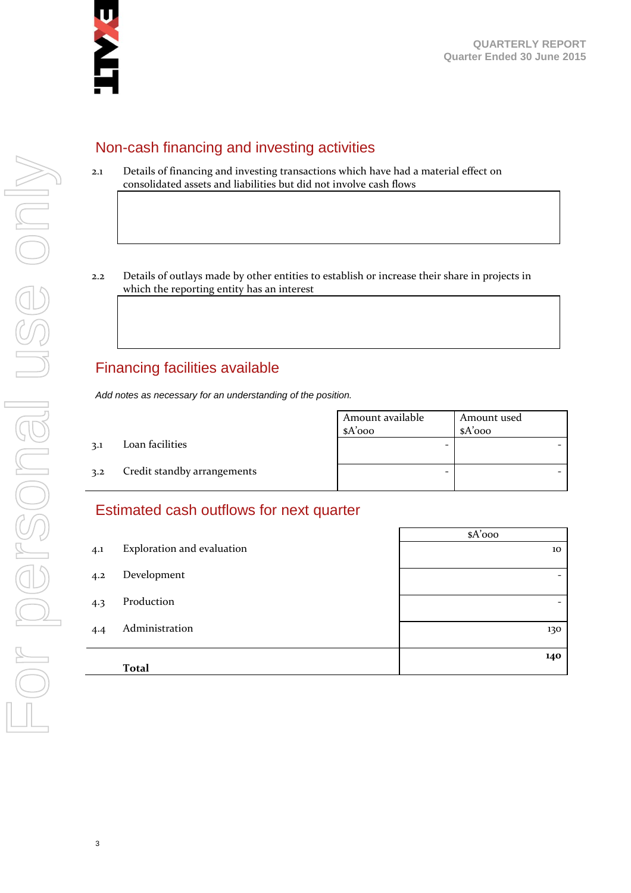

#### Non-cash financing and investing activities

- 2.1 Details of financing and investing transactions which have had a material effect on consolidated assets and liabilities but did not involve cash flows
- 2.2 Details of outlays made by other entities to establish or increase their share in projects in which the reporting entity has an interest

### Financing facilities available

*Add notes as necessary for an understanding of the position.*

|     |                             | Amount available<br>$A'$ 000 | Amount used<br>$A'$ 000 |
|-----|-----------------------------|------------------------------|-------------------------|
| 3.1 | Loan facilities             | -                            |                         |
| 3.2 | Credit standby arrangements | -                            |                         |

#### Estimated cash outflows for next quarter

|     |                            | $A'$ 000                 |
|-----|----------------------------|--------------------------|
| 4.1 | Exploration and evaluation | 10                       |
| 4.2 | Development                | $\overline{\phantom{a}}$ |
| 4.3 | Production                 | $\overline{\phantom{0}}$ |
| 4.4 | Administration             | 130                      |
|     | <b>Total</b>               | 140                      |
|     |                            |                          |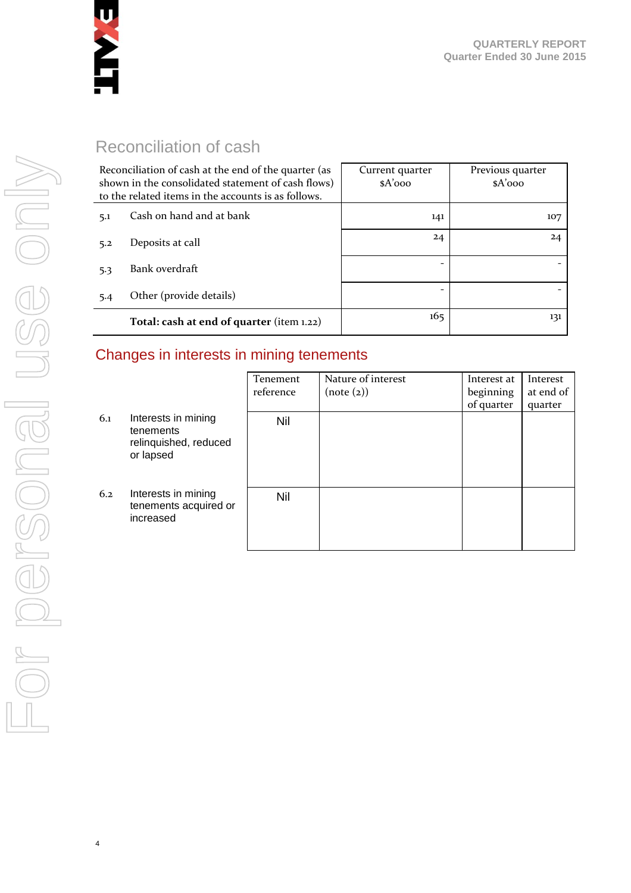

## Reconciliation of cash

| Reconciliation of cash at the end of the quarter (as<br>shown in the consolidated statement of cash flows)<br>to the related items in the accounts is as follows. |                                           | Current quarter<br>$A'$ 000 | Previous quarter<br>$A'$ 000 |
|-------------------------------------------------------------------------------------------------------------------------------------------------------------------|-------------------------------------------|-----------------------------|------------------------------|
| 5.1                                                                                                                                                               | Cash on hand and at bank                  | 141                         | 107                          |
| 5.2                                                                                                                                                               | Deposits at call                          | 24                          | 24                           |
| 5.3                                                                                                                                                               | Bank overdraft                            |                             |                              |
| 5.4                                                                                                                                                               | Other (provide details)                   |                             |                              |
|                                                                                                                                                                   | Total: cash at end of quarter (item 1.22) | 165                         | 131                          |

## Changes in interests in mining tenements

|     |                                                                        | Tenement<br>reference | Nature of interest<br>(note (2)) | Interest at<br>beginning | Interest<br>at end of |
|-----|------------------------------------------------------------------------|-----------------------|----------------------------------|--------------------------|-----------------------|
|     |                                                                        |                       |                                  | of quarter               | quarter               |
| 6.1 | Interests in mining<br>tenements<br>relinquished, reduced<br>or lapsed | <b>Nil</b>            |                                  |                          |                       |
| 6.2 | Interests in mining<br>tenements acquired or<br>increased              | Nil                   |                                  |                          |                       |

4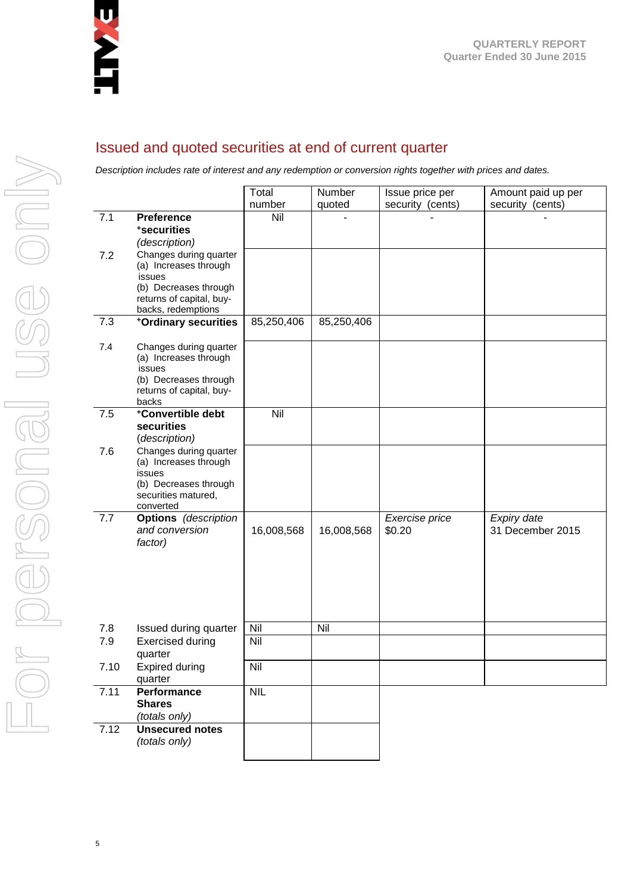

#### Issued and quoted securities at end of current quarter

*Description includes rate of interest and any redemption or conversion rights together with prices and dates.*

|      |                                                                                                                                      | Total      | Number     | Issue price per          | Amount paid up per              |
|------|--------------------------------------------------------------------------------------------------------------------------------------|------------|------------|--------------------------|---------------------------------|
|      |                                                                                                                                      | number     | quoted     | security (cents)         | security (cents)                |
| 7.1  | <b>Preference</b><br>*securities<br>(description)                                                                                    | Nil        |            |                          |                                 |
| 7.2  | Changes during quarter<br>(a) Increases through<br>issues<br>(b) Decreases through<br>returns of capital, buy-<br>backs, redemptions |            |            |                          |                                 |
| 7.3  | +Ordinary securities                                                                                                                 | 85,250,406 | 85,250,406 |                          |                                 |
| 7.4  | Changes during quarter<br>(a) Increases through<br>issues<br>(b) Decreases through<br>returns of capital, buy-<br>backs              |            |            |                          |                                 |
| 7.5  | +Convertible debt<br>securities<br>(description)                                                                                     | Nil        |            |                          |                                 |
| 7.6  | Changes during quarter<br>(a) Increases through<br>issues<br>(b) Decreases through<br>securities matured,<br>converted               |            |            |                          |                                 |
| 7.7  | <b>Options</b> (description<br>and conversion<br>factor)                                                                             | 16,008,568 | 16,008,568 | Exercise price<br>\$0.20 | Expiry date<br>31 December 2015 |
| 7.8  | Issued during quarter                                                                                                                | Nil        | Nil        |                          |                                 |
| 7.9  | <b>Exercised during</b><br>quarter                                                                                                   | Nil        |            |                          |                                 |
| 7.10 | <b>Expired during</b><br>quarter                                                                                                     | Nil        |            |                          |                                 |
| 7.11 | Performance<br><b>Shares</b><br>(totals only)                                                                                        | <b>NIL</b> |            |                          |                                 |
| 7.12 | <b>Unsecured notes</b><br>(totals only)                                                                                              |            |            |                          |                                 |